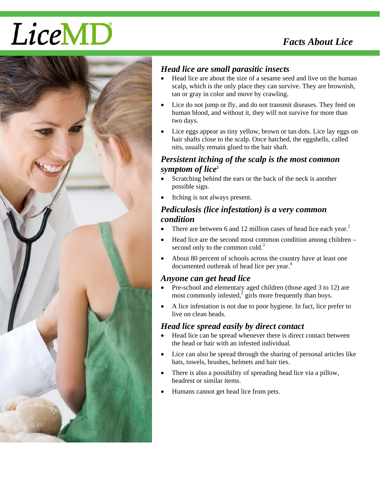# LiceMD



# *Head lice are small parasitic insects*

- Head lice are about the size of a sesame seed and live on the human scalp, which is the only place they can survive. They are brownish, tan or gray in color and move by crawling.
- Lice do not jump or fly, and do not transmit diseases. They feed on human blood, and without it, they will not survive for more than two days.
- Lice eggs appear as tiny yellow, brown or tan dots. Lice lay eggs on hair shafts close to the scalp. Once hatched, the eggshells, called nits, usually remain glued to the hair shaft.

#### *Persistent itching of the scalp is the most common symptom of lice1*

- Scratching behind the ears or the back of the neck is another possible sign.
- Itching is not always present.

### *Pediculosis (lice infestation) is a very common condition*

- There are between 6 and 12 million cases of head lice each year. $<sup>2</sup>$ </sup>
- Head lice are the second most common condition among children second only to the common cold.<sup>3</sup>
- About 80 percent of schools across the country have at least one documented outbreak of head lice per year.<sup>4</sup>

#### *Anyone can get head lice*

- Pre-school and elementary aged children (those aged 3 to 12) are most commonly infested, $\frac{3}{2}$  girls more frequently than boys.
- A lice infestation is not due to poor hygiene. In fact, lice prefer to live on clean heads.

# *Head lice spread easily by direct contact*

- Head lice can be spread whenever there is direct contact between the head or hair with an infested individual.
- Lice can also be spread through the sharing of personal articles like hats, towels, brushes, helmets and hair ties.
- There is also a possibility of spreading head lice via a pillow, headrest or similar items.
- Humans cannot get head lice from pets.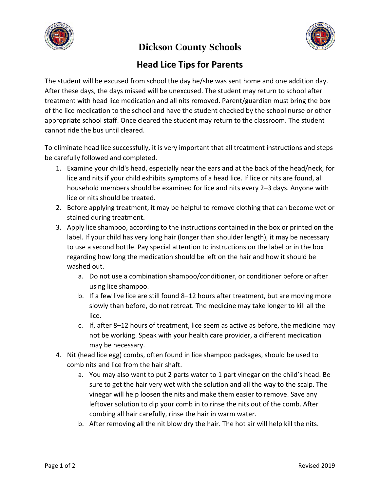

**Dickson County Schools**



# **Head Lice Tips for Parents**

The student will be excused from school the day he/she was sent home and one addition day. After these days, the days missed will be unexcused. The student may return to school after treatment with head lice medication and all nits removed. Parent/guardian must bring the box of the lice medication to the school and have the student checked by the school nurse or other appropriate school staff. Once cleared the student may return to the classroom. The student cannot ride the bus until cleared.

To eliminate head lice successfully, it is very important that all treatment instructions and steps be carefully followed and completed.

- 1. Examine your child's head, especially near the ears and at the back of the head/neck, for lice and nits if your child exhibits symptoms of a head lice. If lice or nits are found, all household members should be examined for lice and nits every 2–3 days. Anyone with lice or nits should be treated.
- 2. Before applying treatment, it may be helpful to remove clothing that can become wet or stained during treatment.
- 3. Apply lice shampoo, according to the instructions contained in the box or printed on the label. If your child has very long hair (longer than shoulder length), it may be necessary to use a second bottle. Pay special attention to instructions on the label or in the box regarding how long the medication should be left on the hair and how it should be washed out.
	- a. Do not use a combination shampoo/conditioner, or conditioner before or after using lice shampoo.
	- b. If a few live lice are still found 8–12 hours after treatment, but are moving more slowly than before, do not retreat. The medicine may take longer to kill all the lice.
	- c. If, after 8–12 hours of treatment, lice seem as active as before, the medicine may not be working. Speak with your health care provider, a different medication may be necessary.
- 4. Nit (head lice egg) combs, often found in lice shampoo packages, should be used to comb nits and lice from the hair shaft.
	- a. You may also want to put 2 parts water to 1 part vinegar on the child's head. Be sure to get the hair very wet with the solution and all the way to the scalp. The vinegar will help loosen the nits and make them easier to remove. Save any leftover solution to dip your comb in to rinse the nits out of the comb. After combing all hair carefully, rinse the hair in warm water.
	- b. After removing all the nit blow dry the hair. The hot air will help kill the nits.